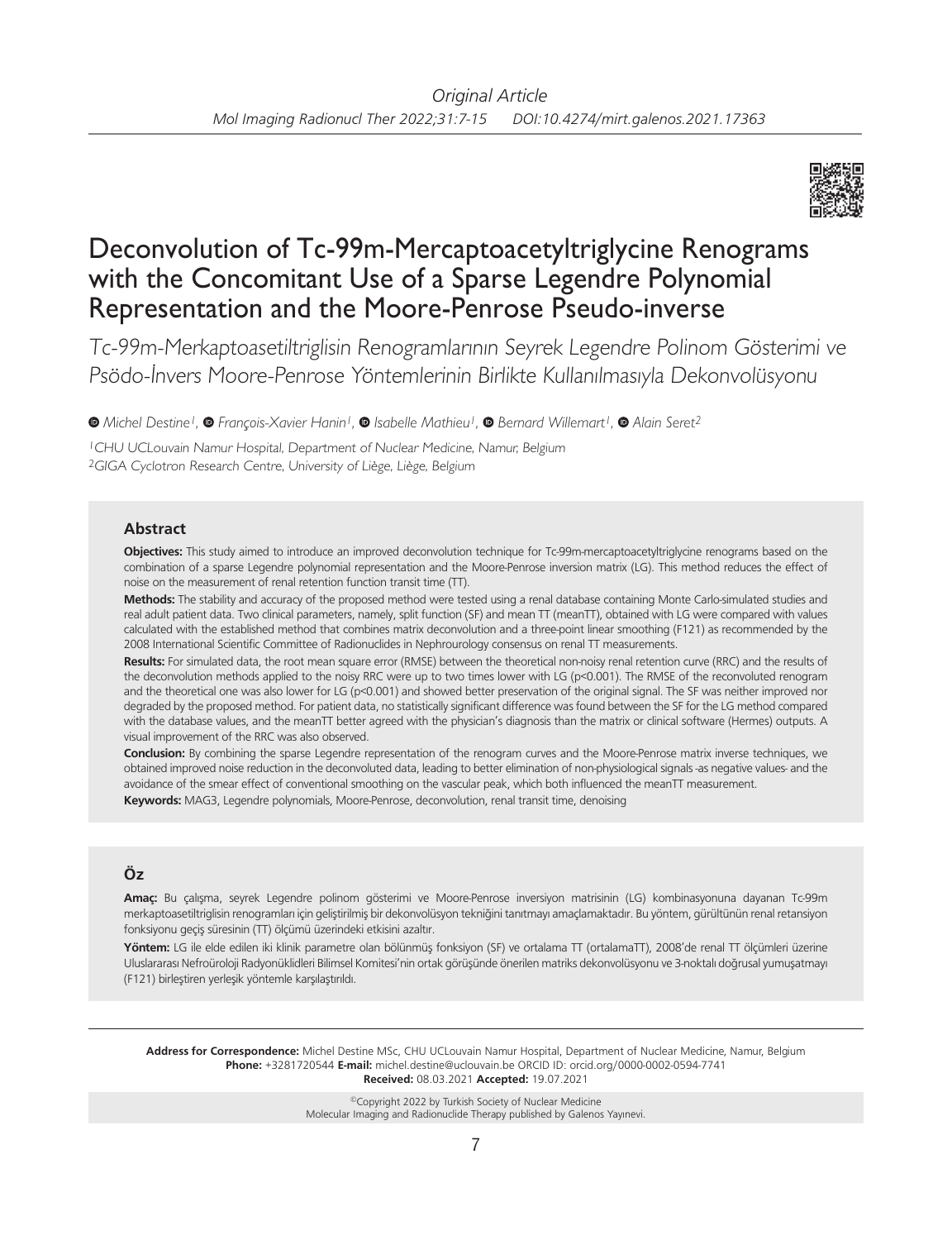

# Deconvolution of Tc-99m-Mercaptoacetyltriglycine Renograms with the Concomitant Use of a Sparse Legendre Polynomial Representation and the Moore-Penrose Pseudo-inverse

Tc-99m-Merkaptoasetiltriglisin Renogramlarının Seyrek Legendre Polinom Gösterimi ve Psödo-İnvers Moore-Penrose Yöntemlerinin Birlikte Kullanılmasıyla Dekonvolüsyonu

*Michel Destine1,François-Xavier Hanin1,Isabelle Mathieu1,Bernard Willemart1, Alain Seret2*

<sup>1</sup>CHU UCLouvain Namur Hospital, Department of Nuclear Medicine, Namur, Belgium <sup>2</sup>GIGA Cyclotron Research Centre, University of Liège, Liège, Belgium

## **Abstract**

**Objectives:** This study aimed to introduce an improved deconvolution technique for Tc-99m-mercaptoacetyltriglycine renograms based on the combination of a sparse Legendre polynomial representation and the Moore-Penrose inversion matrix (LG). This method reduces the effect of noise on the measurement of renal retention function transit time (TT).

**Methods:** The stability and accuracy of the proposed method were tested using a renal database containing Monte Carlo-simulated studies and real adult patient data. Two clinical parameters, namely, split function (SF) and mean TT (meanTT), obtained with LG were compared with values calculated with the established method that combines matrix deconvolution and a three-point linear smoothing (F121) as recommended by the 2008 International Scientific Committee of Radionuclides in Nephrourology consensus on renal TT measurements.

**Results:** For simulated data, the root mean square error (RMSE) between the theoretical non-noisy renal retention curve (RRC) and the results of the deconvolution methods applied to the noisy RRC were up to two times lower with LG (p<0.001). The RMSE of the reconvoluted renogram and the theoretical one was also lower for LG (p<0.001) and showed better preservation of the original signal. The SF was neither improved nor degraded by the proposed method. For patient data, no statistically significant difference was found between the SF for the LG method compared with the database values, and the meanTT better agreed with the physician's diagnosis than the matrix or clinical software (Hermes) outputs. A visual improvement of the RRC was also observed.

**Conclusion:** By combining the sparse Legendre representation of the renogram curves and the Moore-Penrose matrix inverse techniques, we obtained improved noise reduction in the deconvoluted data, leading to better elimination of non-physiological signals -as negative values- and the avoidance of the smear effect of conventional smoothing on the vascular peak, which both influenced the meanTT measurement. **Keywords:** MAG3, Legendre polynomials, Moore-Penrose, deconvolution, renal transit time, denoising

## **Öz**

**Amaç:** Bu çalışma, seyrek Legendre polinom gösterimi ve Moore-Penrose inversiyon matrisinin (LG) kombinasyonuna dayanan Tc-99m merkaptoasetiltriglisin renogramları için geliştirilmiş bir dekonvolüsyon tekniğini tanıtmayı amaçlamaktadır. Bu yöntem, gürültünün renal retansiyon fonksiyonu geçiş süresinin (TT) ölçümü üzerindeki etkisini azaltır.

**Yöntem:** LG ile elde edilen iki klinik parametre olan bölünmüş fonksiyon (SF) ve ortalama TT (ortalamaTT), 2008'de renal TT ölçümleri üzerine Uluslararası Nefroüroloji Radyonüklidleri Bilimsel Komitesi'nin ortak görüşünde önerilen matriks dekonvolüsyonu ve 3-noktalı doğrusal yumuşatmayı (F121) birleştiren yerleşik yöntemle karşılaştırıldı.

**Address for Correspondence:** Michel Destine MSc, CHU UCLouvain Namur Hospital, Department of Nuclear Medicine, Namur, Belgium **Phone:** +3281720544 **E-mail:** michel.destine@uclouvain.be ORCID ID: orcid.org/0000-0002-0594-7741 **Received:** 08.03.2021 **Accepted:** 19.07.2021

> ©Copyright 2022 by Turkish Society of Nuclear Medicine Molecular Imaging and Radionuclide Therapy published by Galenos Yayınevi.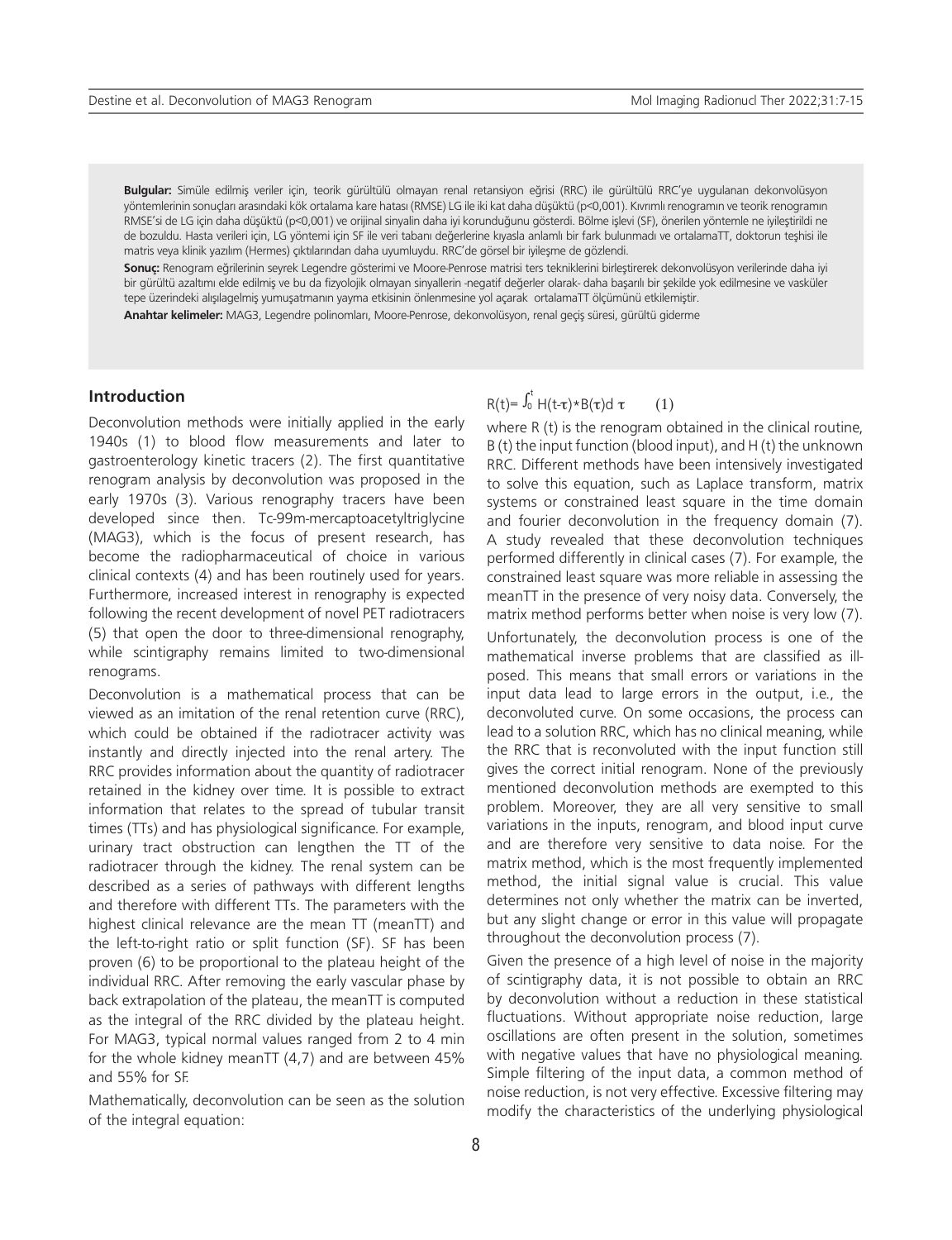**Bulgular:** Simüle edilmiş veriler için, teorik gürültülü olmayan renal retansiyon eğrisi (RRC) ile gürültülü RRC'ye uygulanan dekonvolüsyon yöntemlerinin sonuçları arasındaki kök ortalama kare hatası (RMSE) LG ile iki kat daha düşüktü (p<0,001). Kıvrımlı renogramın ve teorik renogramın RMSE'si de LG için daha düşüktü (p<0,001) ve orijinal sinyalin daha iyi korunduğunu gösterdi. Bölme işlevi (SF), önerilen yöntemle ne iyileştirildi ne de bozuldu. Hasta verileri için, LG yöntemi için SF ile veri tabanı değerlerine kıyasla anlamlı bir fark bulunmadı ve ortalamaTT, doktorun teşhisi ile matris veya klinik yazılım (Hermes) çıktılarından daha uyumluydu. RRC'de görsel bir iyileşme de gözlendi.

**Sonuç:** Renogram eğrilerinin seyrek Legendre gösterimi ve Moore-Penrose matrisi ters tekniklerini birleştirerek dekonvolüsyon verilerinde daha iyi bir gürültü azaltımı elde edilmiş ve bu da fizyolojik olmayan sinyallerin -negatif değerler olarak- daha başarılı bir şekilde yok edilmesine ve vasküler tepe üzerindeki alışılagelmiş yumuşatmanın yayma etkisinin önlenmesine yol açarak ortalamaTT ölçümünü etkilemiştir.

**Anahtar kelimeler:** MAG3, Legendre polinomları, Moore-Penrose, dekonvolüsyon, renal geçiş süresi, gürültü giderme

#### **Introduction**

Deconvolution methods were initially applied in the early 1940s (1) to blood flow measurements and later to gastroenterology kinetic tracers (2). The first quantitative renogram analysis by deconvolution was proposed in the early 1970s (3). Various renography tracers have been developed since then. Tc-99m-mercaptoacetyltriglycine (MAG3), which is the focus of present research, has become the radiopharmaceutical of choice in various clinical contexts (4) and has been routinely used for years. Furthermore, increased interest in renography is expected following the recent development of novel PET radiotracers (5) that open the door to three-dimensional renography, while scintigraphy remains limited to two-dimensional renograms.

Deconvolution is a mathematical process that can be viewed as an imitation of the renal retention curve (RRC), which could be obtained if the radiotracer activity was instantly and directly injected into the renal artery. The RRC provides information about the quantity of radiotracer retained in the kidney over time. It is possible to extract information that relates to the spread of tubular transit times (TTs) and has physiological significance. For example, urinary tract obstruction can lengthen the TT of the radiotracer through the kidney. The renal system can be described as a series of pathways with different lengths and therefore with different TTs. The parameters with the highest clinical relevance are the mean TT (meanTT) and the left-to-right ratio or split function (SF). SF has been proven (6) to be proportional to the plateau height of the individual RRC. After removing the early vascular phase by back extrapolation of the plateau, the meanTT is computed as the integral of the RRC divided by the plateau height. For MAG3, typical normal values ranged from 2 to 4 min for the whole kidney meanTT (4,7) and are between 45% and 55% for SF.

Mathematically, deconvolution can be seen as the solution of the integral equation:

## R(t)=  $\int_0^t H(t-\tau) * B(\tau) d\tau$  (1)

where R (t) is the renogram obtained in the clinical routine, B (t) the input function (blood input), and H (t) the unknown RRC. Different methods have been intensively investigated to solve this equation, such as Laplace transform, matrix systems or constrained least square in the time domain and fourier deconvolution in the frequency domain (7). A study revealed that these deconvolution techniques performed differently in clinical cases (7). For example, the constrained least square was more reliable in assessing the meanTT in the presence of very noisy data. Conversely, the matrix method performs better when noise is very low (7).

Unfortunately, the deconvolution process is one of the mathematical inverse problems that are classified as illposed. This means that small errors or variations in the input data lead to large errors in the output, i.e., the deconvoluted curve. On some occasions, the process can lead to a solution RRC, which has no clinical meaning, while the RRC that is reconvoluted with the input function still gives the correct initial renogram. None of the previously mentioned deconvolution methods are exempted to this problem. Moreover, they are all very sensitive to small variations in the inputs, renogram, and blood input curve and are therefore very sensitive to data noise. For the matrix method, which is the most frequently implemented method, the initial signal value is crucial. This value determines not only whether the matrix can be inverted, but any slight change or error in this value will propagate throughout the deconvolution process (7).

Given the presence of a high level of noise in the majority of scintigraphy data, it is not possible to obtain an RRC by deconvolution without a reduction in these statistical fluctuations. Without appropriate noise reduction, large oscillations are often present in the solution, sometimes with negative values that have no physiological meaning. Simple filtering of the input data, a common method of noise reduction, is not very effective. Excessive filtering may modify the characteristics of the underlying physiological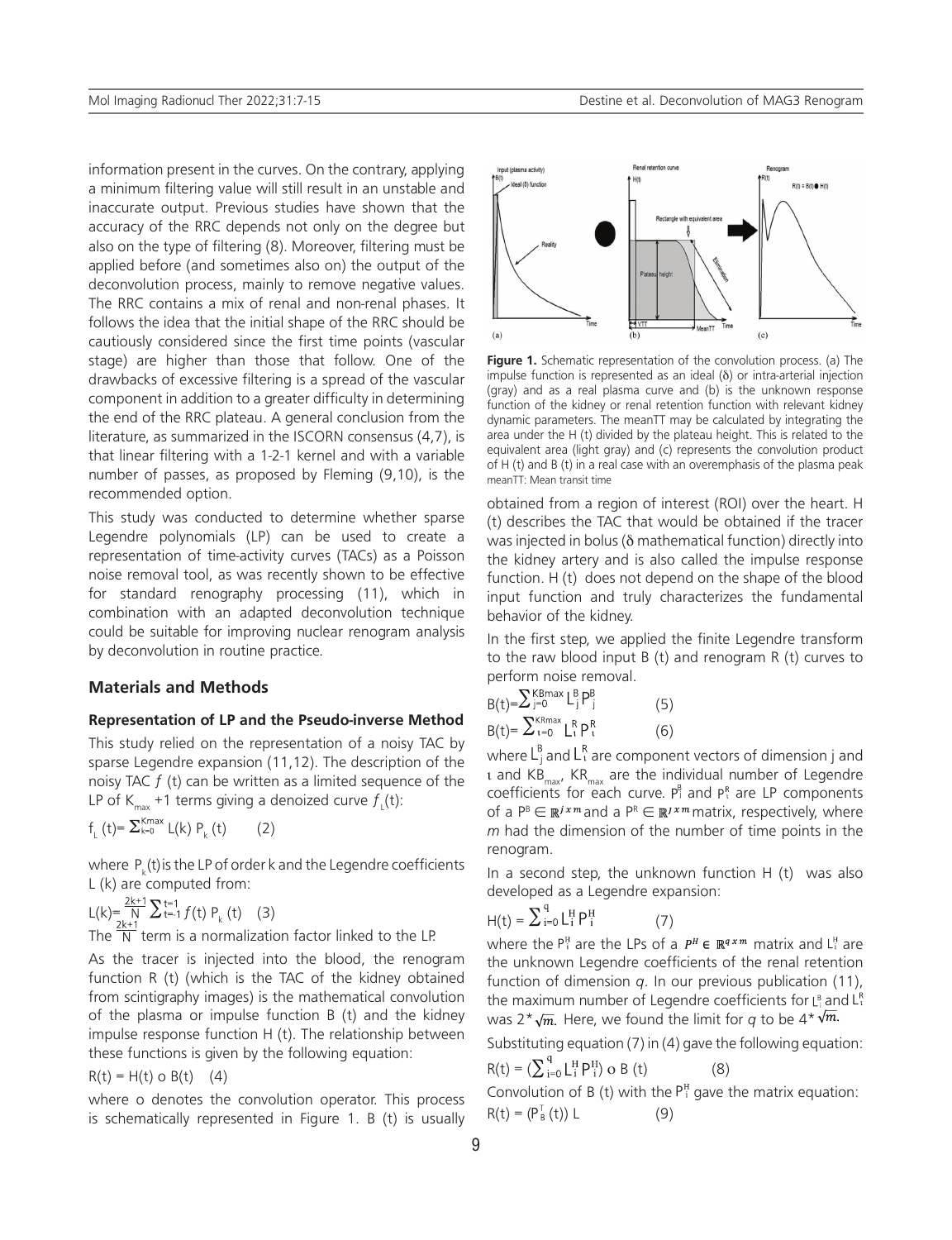information present in the curves. On the contrary, applying a minimum filtering value will still result in an unstable and inaccurate output. Previous studies have shown that the accuracy of the RRC depends not only on the degree but also on the type of filtering (8). Moreover, filtering must be applied before (and sometimes also on) the output of the deconvolution process, mainly to remove negative values. The RRC contains a mix of renal and non-renal phases. It follows the idea that the initial shape of the RRC should be cautiously considered since the first time points (vascular stage) are higher than those that follow. One of the drawbacks of excessive filtering is a spread of the vascular component in addition to a greater difficulty in determining the end of the RRC plateau. A general conclusion from the literature, as summarized in the ISCORN consensus (4,7), is that linear filtering with a 1-2-1 kernel and with a variable number of passes, as proposed by Fleming (9,10), is the recommended option.

This study was conducted to determine whether sparse Legendre polynomials (LP) can be used to create a representation of time-activity curves (TACs) as a Poisson noise removal tool, as was recently shown to be effective for standard renography processing (11), which in combination with an adapted deconvolution technique could be suitable for improving nuclear renogram analysis by deconvolution in routine practice.

#### **Materials and Methods**

#### **Representation of LP and the Pseudo-inverse Method**

This study relied on the representation of a noisy TAC by sparse Legendre expansion (11,12). The description of the noisy TAC  $f$  (t) can be written as a limited sequence of the LP of K<sub>max</sub> +1 terms giving a denoized curve  $f_{\downarrow}^{}(\text{t})$ :

$$
f_{L}(t) = \sum_{k=0}^{Kmax} L(k) P_{k}(t) \qquad (2)
$$

where  $P_k(t)$  is the LP of order k and the Legendre coefficients L (k) are computed from:

$$
L(k) = \frac{2k+1}{N} \sum_{t=1}^{k+1} f(t) P_k(t)
$$
 (3)  
The  $\frac{2k+1}{N}$  term is a normalization factor linked to the LP.

As the tracer is injected into the blood, the renogram function R (t) (which is the TAC of the kidney obtained from scintigraphy images) is the mathematical convolution of the plasma or impulse function B (t) and the kidney impulse response function H (t). The relationship between these functions is given by the following equation:

 $R(t) = H(t) o B(t)$  (4)

where o denotes the convolution operator. This process is schematically represented in Figure 1. B (t) is usually



**Figure 1.** Schematic representation of the convolution process. (a) The impulse function is represented as an ideal (δ) or intra-arterial injection (gray) and as a real plasma curve and (b) is the unknown response function of the kidney or renal retention function with relevant kidney dynamic parameters. The meanTT may be calculated by integrating the area under the H (t) divided by the plateau height. This is related to the equivalent area (light gray) and (c) represents the convolution product of H (t) and B (t) in a real case with an overemphasis of the plasma peak meanTT: Mean transit time

obtained from a region of interest (ROI) over the heart. H (t) describes the TAC that would be obtained if the tracer was injected in bolus (δ mathematical function) directly into the kidney artery and is also called the impulse response function. H (t) does not depend on the shape of the blood input function and truly characterizes the fundamental behavior of the kidney.

In the first step, we applied the finite Legendre transform to the raw blood input B (t) and renogram R (t) curves to perform noise removal.

$$
B(t)=\sum_{j=0}^{\text{KBrax}} L_j^B P_j^B
$$
\n
$$
B(t)=\sum_{i=0}^{\text{KBrax}} L_i^B P_i^R
$$
\n(6)

where  $L_i^B$  and  $L_i^R$  are component vectors of dimension j and ι and KB<sub>max</sub>, KR<sub>max</sub> are the individual number of Legendre coefficients for each curve.  $P_1^B$  and  $P_1^R$  are LP components of a  $P^B \in \mathbb{R}^{j \times m}$  and a  $P^R \in \mathbb{R}^{j \times m}$  matrix, respectively, where *m* had the dimension of the number of time points in the renogram.

In a second step, the unknown function  $H(t)$  was also developed as a Legendre expansion:

$$
H(t) = \sum_{i=0}^{4} L_i^H P_i^H \qquad (7)
$$

where the  $P_i^H$  are the LPs of a  $P^H \in \mathbb{R}^{q \times m}$  matrix and  $L_i^H$  are the unknown Legendre coefficients of the renal retention function of dimension *q*. In our previous publication (11), the maximum number of Legendre coefficients for  $L_1^B$  and  $L_1^R$ was  $2 \times \sqrt{m}$ . Here, we found the limit for *q* to be  $4 \times \sqrt{m}$ .

Substituting equation (7) in (4) gave the following equation:

$$
R(t) = (\sum_{i=0}^{q} L_i^H P_i^H) \circ B(t)
$$
 (8)

Convolution of B (t) with the  $P_1^H$  gave the matrix equation:  $R(t) = (P_{B}^{T}(t))$  L (9)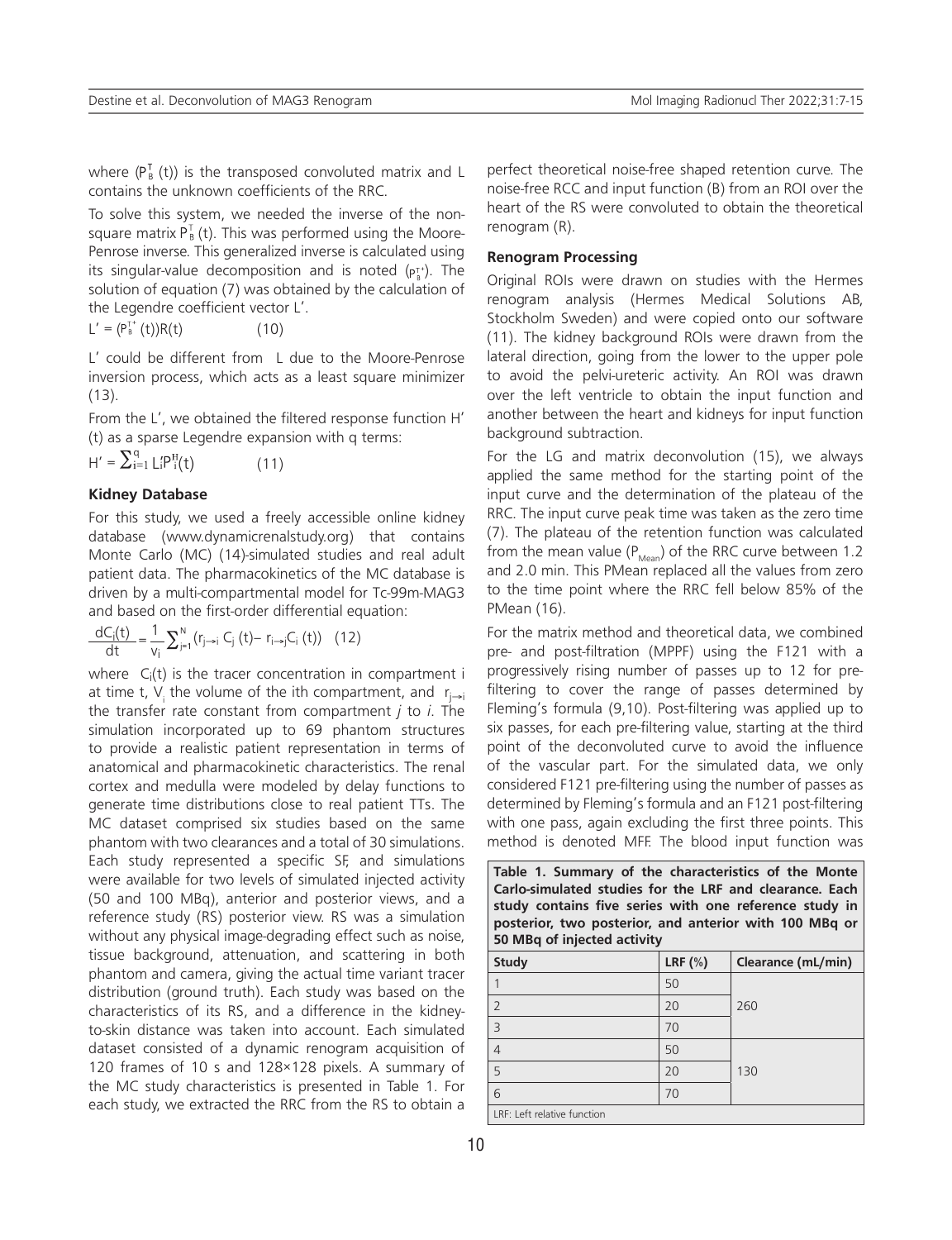where  $(P_{B}^{T}(t))$  is the transposed convoluted matrix and L contains the unknown coefficients of the RRC.

To solve this system, we needed the inverse of the nonsquare matrix  $P_B^T(t)$ . This was performed using the Moore-Penrose inverse. This generalized inverse is calculated using its singular-value decomposition and is noted  $(p_{\lambda}^{+})$ . The solution of equation (7) was obtained by the calculation of the Legendre coefficient vector L'.

 $L' = (P_B^{\tau^+}(t))R(t)$  (10)

L' could be different from L due to the Moore-Penrose inversion process, which acts as a least square minimizer (13).

From the L', we obtained the filtered response function H' (t) as a sparse Legendre expansion with q terms:

$$
H' = \sum_{i=1}^{q} L_i' P_i^H(t)
$$
 (11)

## **Kidney Database**

For this study, we used a freely accessible online kidney database (www.dynamicrenalstudy.org) that contains Monte Carlo (MC) (14)-simulated studies and real adult patient data. The pharmacokinetics of the MC database is driven by a multi-compartmental model for Tc-99m-MAG3 and based on the first-order differential equation:

$$
\frac{dC_{j}(t)}{dt}=\frac{1}{v_{j}}\sum_{j=1}^{N}\left(r_{j\rightarrow i}\ C_{j}\ (t)-\ r_{i\rightarrow j}C_{i}\ (t)\right)\ (12)
$$

where  $C_i(t)$  is the tracer concentration in compartment i at time t, V<sub>i</sub> the volume of the ith compartment, and  $r_{j\rightarrow i}$ the transfer rate constant from compartment *j* to *i*. The simulation incorporated up to 69 phantom structures to provide a realistic patient representation in terms of anatomical and pharmacokinetic characteristics. The renal cortex and medulla were modeled by delay functions to generate time distributions close to real patient TTs. The MC dataset comprised six studies based on the same phantom with two clearances and a total of 30 simulations. Each study represented a specific SF, and simulations were available for two levels of simulated injected activity (50 and 100 MBq), anterior and posterior views, and a reference study (RS) posterior view. RS was a simulation without any physical image-degrading effect such as noise, tissue background, attenuation, and scattering in both phantom and camera, giving the actual time variant tracer distribution (ground truth). Each study was based on the characteristics of its RS, and a difference in the kidneyto-skin distance was taken into account. Each simulated dataset consisted of a dynamic renogram acquisition of 120 frames of 10 s and 128×128 pixels. A summary of the MC study characteristics is presented in Table 1. For each study, we extracted the RRC from the RS to obtain a

perfect theoretical noise-free shaped retention curve. The noise-free RCC and input function (B) from an ROI over the heart of the RS were convoluted to obtain the theoretical renogram (R).

#### **Renogram Processing**

Original ROIs were drawn on studies with the Hermes renogram analysis (Hermes Medical Solutions AB, Stockholm Sweden) and were copied onto our software (11). The kidney background ROIs were drawn from the lateral direction, going from the lower to the upper pole to avoid the pelvi-ureteric activity. An ROI was drawn over the left ventricle to obtain the input function and another between the heart and kidneys for input function background subtraction.

For the LG and matrix deconvolution (15), we always applied the same method for the starting point of the input curve and the determination of the plateau of the RRC. The input curve peak time was taken as the zero time (7). The plateau of the retention function was calculated from the mean value ( $P_{Mean}$ ) of the RRC curve between 1.2 and 2.0 min. This PMean replaced all the values from zero to the time point where the RRC fell below 85% of the PMean (16).

For the matrix method and theoretical data, we combined pre- and post-filtration (MPPF) using the F121 with a progressively rising number of passes up to 12 for prefiltering to cover the range of passes determined by Fleming's formula (9,10). Post-filtering was applied up to six passes, for each pre-filtering value, starting at the third point of the deconvoluted curve to avoid the influence of the vascular part. For the simulated data, we only considered F121 pre-filtering using the number of passes as determined by Fleming's formula and an F121 post-filtering with one pass, again excluding the first three points. This method is denoted MFF. The blood input function was

| Table 1. Summary of the characteristics of the Monte    |  |  |  |  |
|---------------------------------------------------------|--|--|--|--|
| Carlo-simulated studies for the LRF and clearance. Each |  |  |  |  |
| study contains five series with one reference study in  |  |  |  |  |
| posterior, two posterior, and anterior with 100 MBq or  |  |  |  |  |
| 50 MBg of injected activity                             |  |  |  |  |
|                                                         |  |  |  |  |

| <b>Study</b>                | LRF $(\%)$ | Clearance (mL/min) |  |  |
|-----------------------------|------------|--------------------|--|--|
|                             | 50         |                    |  |  |
| $\overline{2}$              | 20         | 260                |  |  |
| $\overline{\mathbf{3}}$     | 70         |                    |  |  |
| 4                           | 50         |                    |  |  |
| 5                           | 20         | 130                |  |  |
| 6                           | 70         |                    |  |  |
| LRF: Left relative function |            |                    |  |  |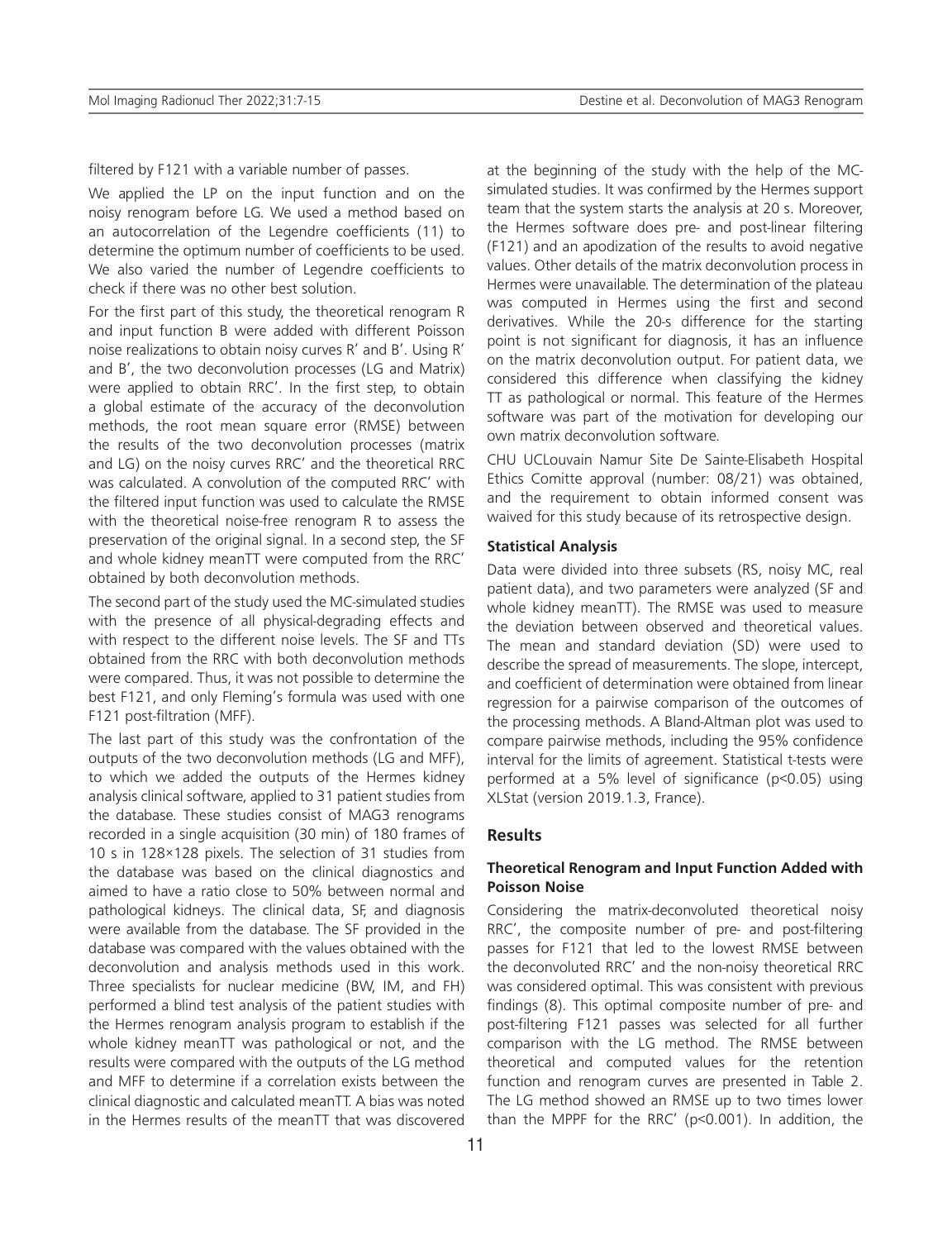filtered by F121 with a variable number of passes.

We applied the LP on the input function and on the noisy renogram before LG. We used a method based on an autocorrelation of the Legendre coefficients (11) to determine the optimum number of coefficients to be used. We also varied the number of Legendre coefficients to check if there was no other best solution.

For the first part of this study, the theoretical renogram R and input function B were added with different Poisson noise realizations to obtain noisy curves R' and B'. Using R' and B', the two deconvolution processes (LG and Matrix) were applied to obtain RRC'. In the first step, to obtain a global estimate of the accuracy of the deconvolution methods, the root mean square error (RMSE) between the results of the two deconvolution processes (matrix and LG) on the noisy curves RRC' and the theoretical RRC was calculated. A convolution of the computed RRC' with the filtered input function was used to calculate the RMSE with the theoretical noise-free renogram R to assess the preservation of the original signal. In a second step, the SF and whole kidney meanTT were computed from the RRC' obtained by both deconvolution methods.

The second part of the study used the MC-simulated studies with the presence of all physical-degrading effects and with respect to the different noise levels. The SF and TTs obtained from the RRC with both deconvolution methods were compared. Thus, it was not possible to determine the best F121, and only Fleming's formula was used with one F121 post-filtration (MFF).

The last part of this study was the confrontation of the outputs of the two deconvolution methods (LG and MFF), to which we added the outputs of the Hermes kidney analysis clinical software, applied to 31 patient studies from the database. These studies consist of MAG3 renograms recorded in a single acquisition (30 min) of 180 frames of 10 s in 128×128 pixels. The selection of 31 studies from the database was based on the clinical diagnostics and aimed to have a ratio close to 50% between normal and pathological kidneys. The clinical data, SF, and diagnosis were available from the database. The SF provided in the database was compared with the values obtained with the deconvolution and analysis methods used in this work. Three specialists for nuclear medicine (BW, IM, and FH) performed a blind test analysis of the patient studies with the Hermes renogram analysis program to establish if the whole kidney meanTT was pathological or not, and the results were compared with the outputs of the LG method and MFF to determine if a correlation exists between the clinical diagnostic and calculated meanTT. A bias was noted in the Hermes results of the meanTT that was discovered

at the beginning of the study with the help of the MCsimulated studies. It was confirmed by the Hermes support team that the system starts the analysis at 20 s. Moreover, the Hermes software does pre- and post-linear filtering (F121) and an apodization of the results to avoid negative values. Other details of the matrix deconvolution process in Hermes were unavailable. The determination of the plateau was computed in Hermes using the first and second derivatives. While the 20-s difference for the starting point is not significant for diagnosis, it has an influence on the matrix deconvolution output. For patient data, we considered this difference when classifying the kidney TT as pathological or normal. This feature of the Hermes software was part of the motivation for developing our own matrix deconvolution software.

CHU UCLouvain Namur Site De Sainte-Elisabeth Hospital Ethics Comitte approval (number: 08/21) was obtained, and the requirement to obtain informed consent was waived for this study because of its retrospective design.

## **Statistical Analysis**

Data were divided into three subsets (RS, noisy MC, real patient data), and two parameters were analyzed (SF and whole kidney meanTT). The RMSE was used to measure the deviation between observed and theoretical values. The mean and standard deviation (SD) were used to describe the spread of measurements. The slope, intercept, and coefficient of determination were obtained from linear regression for a pairwise comparison of the outcomes of the processing methods. A Bland-Altman plot was used to compare pairwise methods, including the 95% confidence interval for the limits of agreement. Statistical t-tests were performed at a 5% level of significance (p<0.05) using XLStat (version 2019.1.3, France).

## **Results**

## **Theoretical Renogram and Input Function Added with Poisson Noise**

Considering the matrix-deconvoluted theoretical noisy RRC', the composite number of pre- and post-filtering passes for F121 that led to the lowest RMSE between the deconvoluted RRC' and the non-noisy theoretical RRC was considered optimal. This was consistent with previous findings (8). This optimal composite number of pre- and post-filtering F121 passes was selected for all further comparison with the LG method. The RMSE between theoretical and computed values for the retention function and renogram curves are presented in Table 2. The LG method showed an RMSE up to two times lower than the MPPF for the RRC' (p<0.001). In addition, the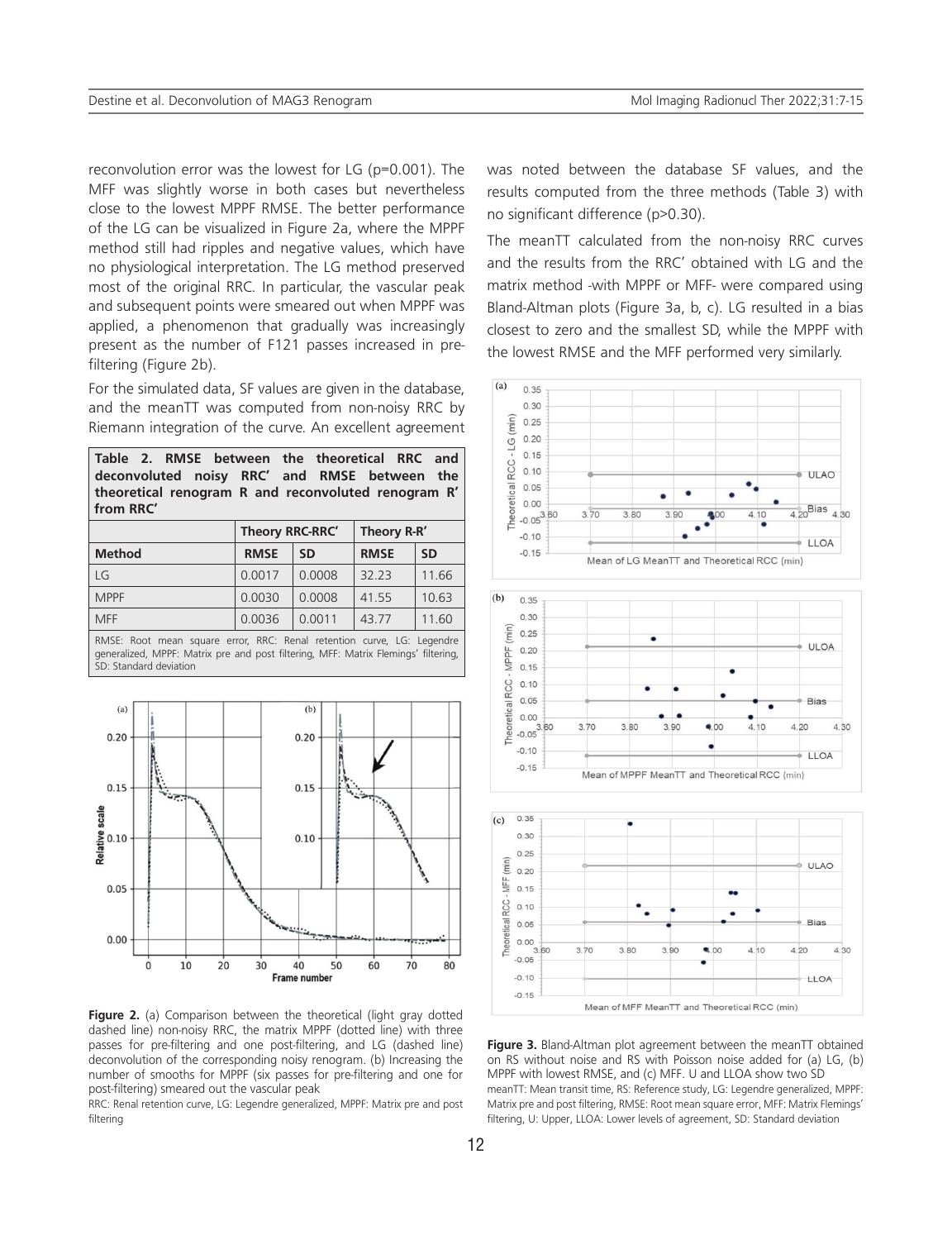reconvolution error was the lowest for LG (p=0.001). The MFF was slightly worse in both cases but nevertheless close to the lowest MPPF RMSE. The better performance of the LG can be visualized in Figure 2a, where the MPPF method still had ripples and negative values, which have no physiological interpretation. The LG method preserved most of the original RRC. In particular, the vascular peak and subsequent points were smeared out when MPPF was applied, a phenomenon that gradually was increasingly present as the number of F121 passes increased in prefiltering (Figure 2b).

For the simulated data, SF values are given in the database, and the meanTT was computed from non-noisy RRC by Riemann integration of the curve. An excellent agreement

| Table 2. RMSE between the theoretical RRC and                    |  |                               |  |  |  |  |
|------------------------------------------------------------------|--|-------------------------------|--|--|--|--|
| deconvoluted noisy RRC' and RMSE between the                     |  |                               |  |  |  |  |
| theoretical renogram R and reconvoluted renogram R'<br>from RRC' |  |                               |  |  |  |  |
|                                                                  |  | Theory RRC-RRC'   Theory R-R' |  |  |  |  |

| <b>Method</b> | <b>RMSE</b> | <b>SD</b> | <b>RMSE</b> | <b>SD</b> |
|---------------|-------------|-----------|-------------|-----------|
| LG.           | 0.0017      | 0.0008    | 32.23       | 11.66     |
| <b>MPPF</b>   | 0.0030      | 0.0008    | 41.55       | 10.63     |
| <b>MFF</b>    | 0.0036      | 0.0011    | 43.77       | 11.60     |
|               |             |           |             |           |

RMSE: Root mean square error, RRC: Renal retention curve, LG: Legendre generalized, MPPF: Matrix pre and post filtering, MFF: Matrix Flemings' filtering, SD: Standard deviation



**Figure 2.** (a) Comparison between the theoretical (light gray dotted dashed line) non-noisy RRC, the matrix MPPF (dotted line) with three passes for pre-filtering and one post-filtering, and LG (dashed line) deconvolution of the corresponding noisy renogram. (b) Increasing the number of smooths for MPPF (six passes for pre-filtering and one for post-filtering) smeared out the vascular peak

RRC: Renal retention curve, LG: Legendre generalized, MPPF: Matrix pre and post filtering

was noted between the database SF values, and the results computed from the three methods (Table 3) with no significant difference (p>0.30).

The meanTT calculated from the non-noisy RRC curves and the results from the RRC' obtained with LG and the matrix method -with MPPF or MFF- were compared using Bland-Altman plots (Figure 3a, b, c). LG resulted in a bias closest to zero and the smallest SD, while the MPPF with the lowest RMSE and the MFF performed very similarly.



**Figure 3.** Bland-Altman plot agreement between the meanTT obtained on RS without noise and RS with Poisson noise added for (a) LG, (b) MPPF with lowest RMSE, and (c) MFF. U and LLOA show two SD meanTT: Mean transit time, RS: Reference study, LG: Legendre generalized, MPPF: Matrix pre and post filtering, RMSE: Root mean square error, MFF: Matrix Flemings' filtering, U: Upper, LLOA: Lower levels of agreement, SD: Standard deviation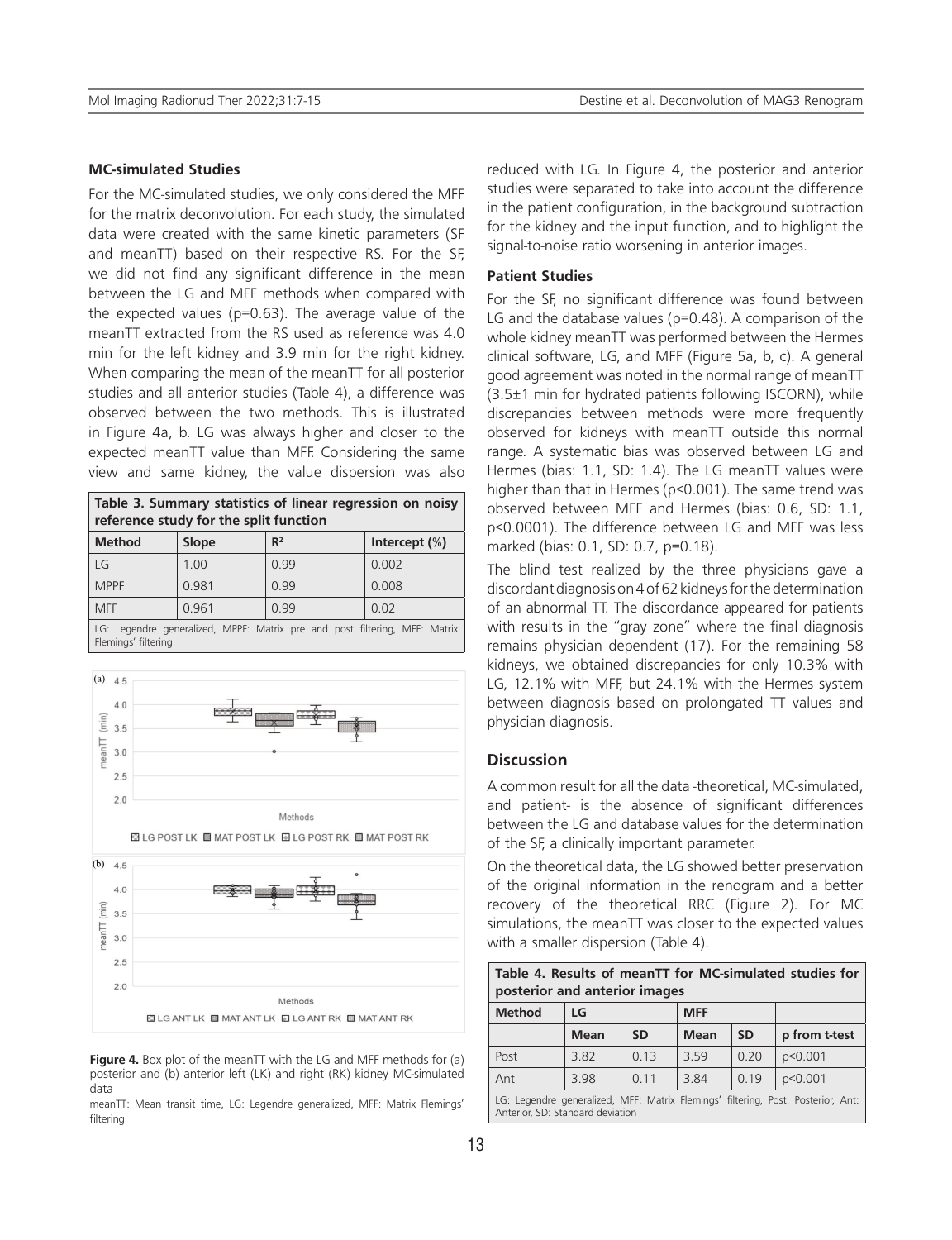## **MC-simulated Studies**

For the MC-simulated studies, we only considered the MFF for the matrix deconvolution. For each study, the simulated data were created with the same kinetic parameters (SF and meanTT) based on their respective RS. For the SF, we did not find any significant difference in the mean between the LG and MFF methods when compared with the expected values (p=0.63). The average value of the meanTT extracted from the RS used as reference was 4.0 min for the left kidney and 3.9 min for the right kidney. When comparing the mean of the meanTT for all posterior studies and all anterior studies (Table 4), a difference was observed between the two methods. This is illustrated in Figure 4a, b. LG was always higher and closer to the expected meanTT value than MFF. Considering the same view and same kidney, the value dispersion was also

| Table 3. Summary statistics of linear regression on noisy<br>reference study for the split function |       |                |                  |  |
|-----------------------------------------------------------------------------------------------------|-------|----------------|------------------|--|
| <b>Method</b>                                                                                       | Slope | $\mathbb{R}^2$ | Intercept $(\%)$ |  |
| LG                                                                                                  | 1.00  | 0 9 9          | 0.002            |  |
| <b>MPPF</b>                                                                                         | 0.981 | 0 9 9          | 0.008            |  |
| <b>MFF</b>                                                                                          | 0.961 | 0 9 9          | 0.02             |  |
| LG: Legendre generalized, MPPF: Matrix pre and post filtering, MFF: Matrix<br>Flemings' filtering   |       |                |                  |  |



**Figure 4.** Box plot of the meanTT with the LG and MFF methods for (a) posterior and (b) anterior left (LK) and right (RK) kidney MC-simulated data

meanTT: Mean transit time, LG: Legendre generalized, MFF: Matrix Flemings' filtering

reduced with LG. In Figure 4, the posterior and anterior studies were separated to take into account the difference in the patient configuration, in the background subtraction for the kidney and the input function, and to highlight the signal-to-noise ratio worsening in anterior images.

#### **Patient Studies**

For the SF, no significant difference was found between LG and the database values (p=0.48). A comparison of the whole kidney meanTT was performed between the Hermes clinical software, LG, and MFF (Figure 5a, b, c). A general good agreement was noted in the normal range of meanTT (3.5±1 min for hydrated patients following ISCORN), while discrepancies between methods were more frequently observed for kidneys with meanTT outside this normal range. A systematic bias was observed between LG and Hermes (bias: 1.1, SD: 1.4). The LG meanTT values were higher than that in Hermes (p<0.001). The same trend was observed between MFF and Hermes (bias: 0.6, SD: 1.1, p<0.0001). The difference between LG and MFF was less marked (bias: 0.1, SD: 0.7, p=0.18).

The blind test realized by the three physicians gave a discordant diagnosis on 4 of 62 kidneys for the determination of an abnormal TT. The discordance appeared for patients with results in the "gray zone" where the final diagnosis remains physician dependent (17). For the remaining 58 kidneys, we obtained discrepancies for only 10.3% with LG, 12.1% with MFF, but 24.1% with the Hermes system between diagnosis based on prolongated TT values and physician diagnosis.

#### **Discussion**

A common result for all the data -theoretical, MC-simulated, and patient- is the absence of significant differences between the LG and database values for the determination of the SF, a clinically important parameter.

On the theoretical data, the LG showed better preservation of the original information in the renogram and a better recovery of the theoretical RRC (Figure 2). For MC simulations, the meanTT was closer to the expected values with a smaller dispersion (Table 4).

| Table 4. Results of meanTT for MC-simulated studies for<br>posterior and anterior images                             |             |           |             |           |               |
|----------------------------------------------------------------------------------------------------------------------|-------------|-----------|-------------|-----------|---------------|
| <b>Method</b>                                                                                                        | LG          |           | <b>MFF</b>  |           |               |
|                                                                                                                      | <b>Mean</b> | <b>SD</b> | <b>Mean</b> | <b>SD</b> | p from t-test |
| Post                                                                                                                 | 3.82        | 0.13      | 3 59        | 0.20      | p<0.001       |
| Ant                                                                                                                  | 3.98        | 0.11      | 3.84        | 0.19      | p<0.001       |
| LG: Legendre generalized, MFF: Matrix Flemings' filtering, Post: Posterior, Ant:<br>Anterior, SD: Standard deviation |             |           |             |           |               |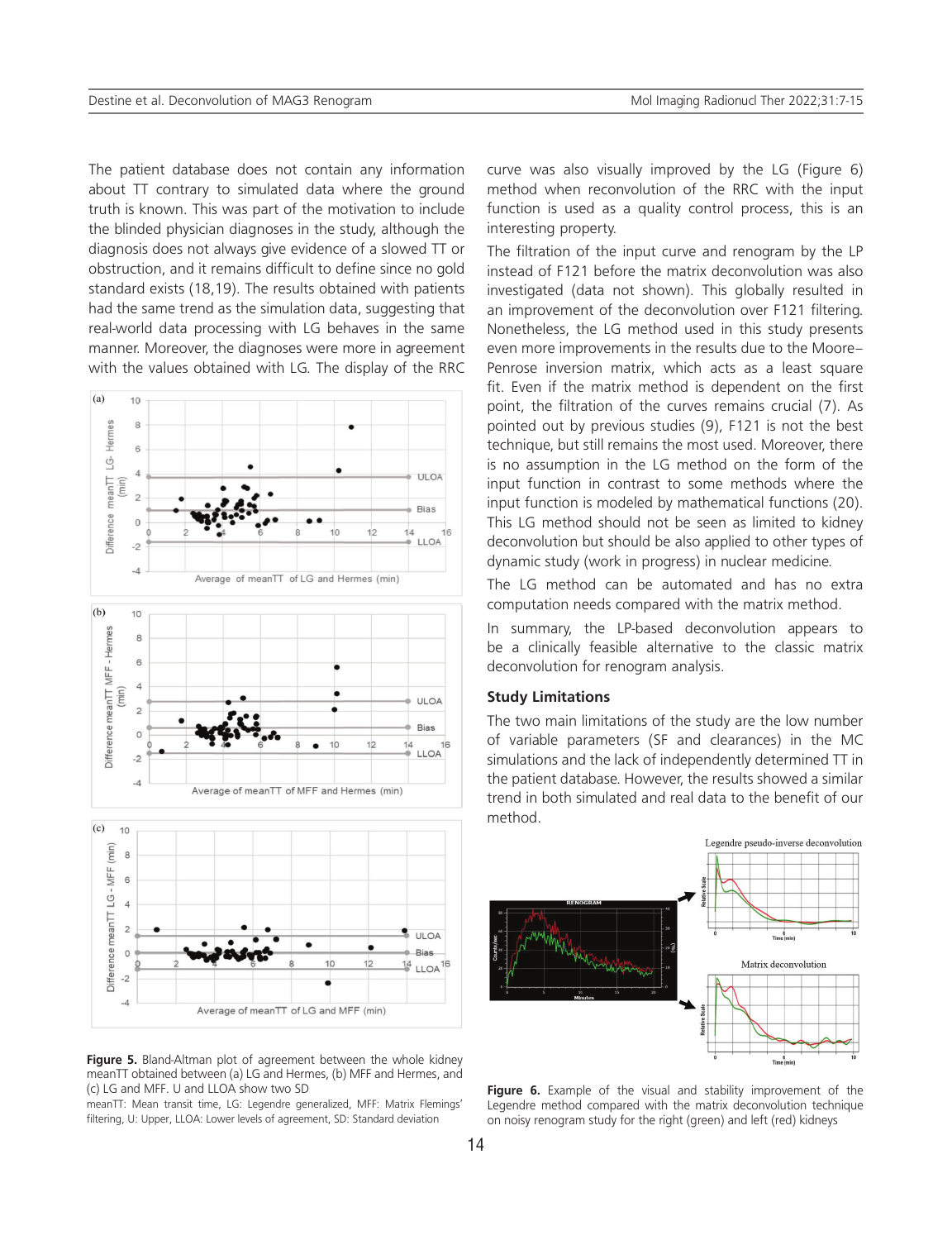The patient database does not contain any information about TT contrary to simulated data where the ground truth is known. This was part of the motivation to include the blinded physician diagnoses in the study, although the diagnosis does not always give evidence of a slowed TT or obstruction, and it remains difficult to define since no gold standard exists (18,19). The results obtained with patients had the same trend as the simulation data, suggesting that real-world data processing with LG behaves in the same manner. Moreover, the diagnoses were more in agreement with the values obtained with LG. The display of the RRC



**Figure 5.** Bland-Altman plot of agreement between the whole kidney meanTT obtained between (a) LG and Hermes, (b) MFF and Hermes, and (c) LG and MFF. U and LLOA show two SD

meanTT: Mean transit time, LG: Legendre generalized, MFF: Matrix Flemings' filtering, U: Upper, LLOA: Lower levels of agreement, SD: Standard deviation

curve was also visually improved by the LG (Figure 6) method when reconvolution of the RRC with the input function is used as a quality control process, this is an interesting property.

The filtration of the input curve and renogram by the LP instead of F121 before the matrix deconvolution was also investigated (data not shown). This globally resulted in an improvement of the deconvolution over F121 filtering. Nonetheless, the LG method used in this study presents even more improvements in the results due to the Moore– Penrose inversion matrix, which acts as a least square fit. Even if the matrix method is dependent on the first point, the filtration of the curves remains crucial (7). As pointed out by previous studies (9), F121 is not the best technique, but still remains the most used. Moreover, there is no assumption in the LG method on the form of the input function in contrast to some methods where the input function is modeled by mathematical functions (20). This LG method should not be seen as limited to kidney deconvolution but should be also applied to other types of dynamic study (work in progress) in nuclear medicine.

The LG method can be automated and has no extra computation needs compared with the matrix method.

In summary, the LP-based deconvolution appears to be a clinically feasible alternative to the classic matrix deconvolution for renogram analysis.

#### **Study Limitations**

The two main limitations of the study are the low number of variable parameters (SF and clearances) in the MC simulations and the lack of independently determined TT in the patient database. However, the results showed a similar trend in both simulated and real data to the benefit of our method.



**Figure 6.** Example of the visual and stability improvement of the Legendre method compared with the matrix deconvolution technique on noisy renogram study for the right (green) and left (red) kidneys